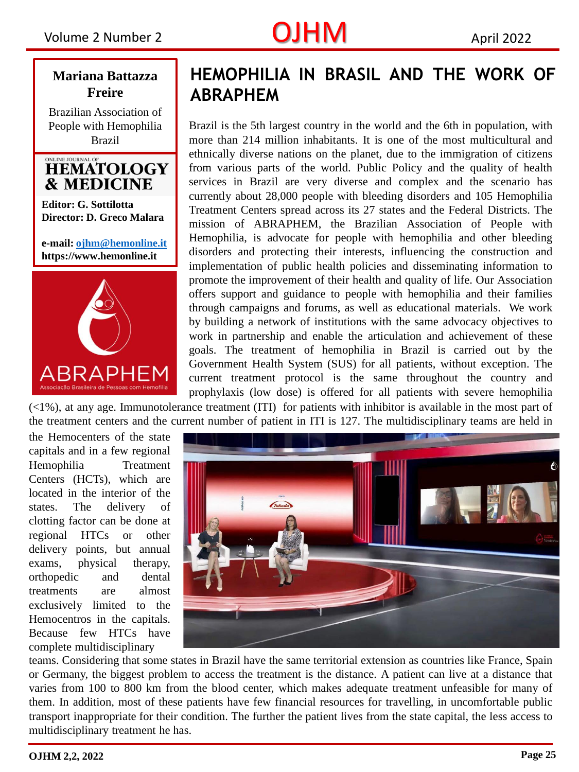# Volume 2 Number 2  $OJHM$  April 2022

### **Mariana Battazza Freire**

Brazilian Association of People with Hemophilia Brazil

### ONLINE JOURNAL OF **HEMATOLOGY & MEDICINE**

**Editor: G. Sottilotta Director: D. Greco Malara**

**e-mail: [ojhm@hemonline.it](mailto:ojhm@hemonline.it) https://www.hemonline.it** 



### **HEMOPHILIA IN BRASIL AND THE WORK OF ABRAPHEM**

Brazil is the 5th largest country in the world and the 6th in population, with more than 214 million inhabitants. It is one of the most multicultural and ethnically diverse nations on the planet, due to the immigration of citizens from various parts of the world. Public Policy and the quality of health services in Brazil are very diverse and complex and the scenario has currently about 28,000 people with bleeding disorders and 105 Hemophilia Treatment Centers spread across its 27 states and the Federal Districts. The mission of ABRAPHEM, the Brazilian Association of People with Hemophilia, is advocate for people with hemophilia and other bleeding disorders and protecting their interests, influencing the construction and implementation of public health policies and disseminating information to promote the improvement of their health and quality of life. Our Association offers support and guidance to people with hemophilia and their families through campaigns and forums, as well as educational materials. We work by building a network of institutions with the same advocacy objectives to work in partnership and enable the articulation and achievement of these goals. The treatment of hemophilia in Brazil is carried out by the Government Health System (SUS) for all patients, without exception. The current treatment protocol is the same throughout the country and prophylaxis (low dose) is offered for all patients with severe hemophilia

(<1%), at any age. Immunotolerance treatment (ITI) for patients with (<1%), at any age. Immunotolerance treatment (ITI) for patients with inhibitor is available in the most part of the treatment centers and the current number of patient in ITI is 127. The multidisciplinary teams are held in

the the Hemocenters of the state capitals and in a few regional Hemophilia Treatment Centers (HCTs), which are located in the interior of the states. The delivery of clotting factor can be done at regional HTCs or other delivery points, but annual exams, physical therapy, orthopedic and dental treatments are almost exclusively limited to the Hemocentros in the capitals. Because few HTCs have complete multidisciplinary



teams. Considering that some states in Brazil have the same territorial extension as countries like France, Spain or Germany, the biggest problem to access the treatment is the distance. A patient can live at a distance that varies from 100 to 800 km from the blood center, which makes adequate treatment unfeasible for many of them. In addition, most of these patients have few financial resources for travelling, in uncomfortable public transport inappropriate for their condition. The further the patient lives from the state capital, the less access to multidisciplinary treatment he has.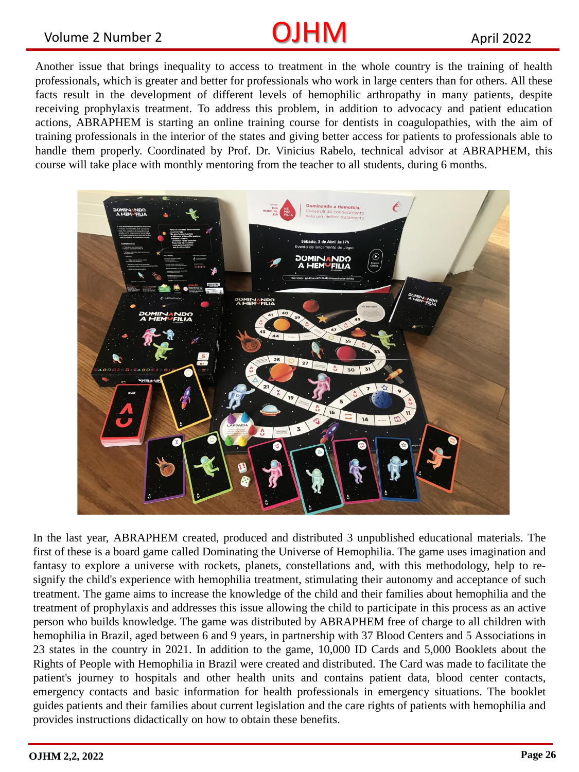## Volume 2 Number 2 **CUHM** April 2022

Another issue that brings inequality to access to treatment in the whole country is the training of health professionals, which is greater and better for professionals who work in large centers than for others. All these facts result in the development of different levels of hemophilic arthropathy in many patients, despite receiving prophylaxis treatment. To address this problem, in addition to advocacy and patient education actions, ABRAPHEM is starting an online training course for dentists in coagulopathies, with the aim of training professionals in the interior of the states and giving better access for patients to professionals able to handle them properly. Coordinated by Prof. Dr. Vinicius Rabelo, technical advisor at ABRAPHEM, this course will take place with monthly mentoring from the teacher to all students, during 6 months.



In the last year, ABRAPHEM created, produced and distributed 3 unpublished educational materials. The first of these is a board game called Dominating the Universe of Hemophilia. The game uses imagination and fantasy to explore a universe with rockets, planets, constellations and, with this methodology, help to resignify the child's experience with hemophilia treatment, stimulating their autonomy and acceptance of such treatment. The game aims to increase the knowledge of the child and their families about hemophilia and the treatment of prophylaxis and addresses this issue allowing the child to participate in this process as an active person who builds knowledge. The game was distributed by ABRAPHEM free of charge to all children with hemophilia in Brazil, aged between 6 and 9 years, in partnership with 37 Blood Centers and 5 Associations in 23 states in the country in 2021. In addition to the game, 10,000 ID Cards and 5,000 Booklets about the Rights of People with Hemophilia in Brazil were created and distributed. The Card was made to facilitate the patient's journey to hospitals and other health units and contains patient data, blood center contacts, emergency contacts and basic information for health professionals in emergency situations. The booklet guides patients and their families about current legislation and the care rights of patients with hemophilia and provides instructions didactically on how to obtain these benefits.